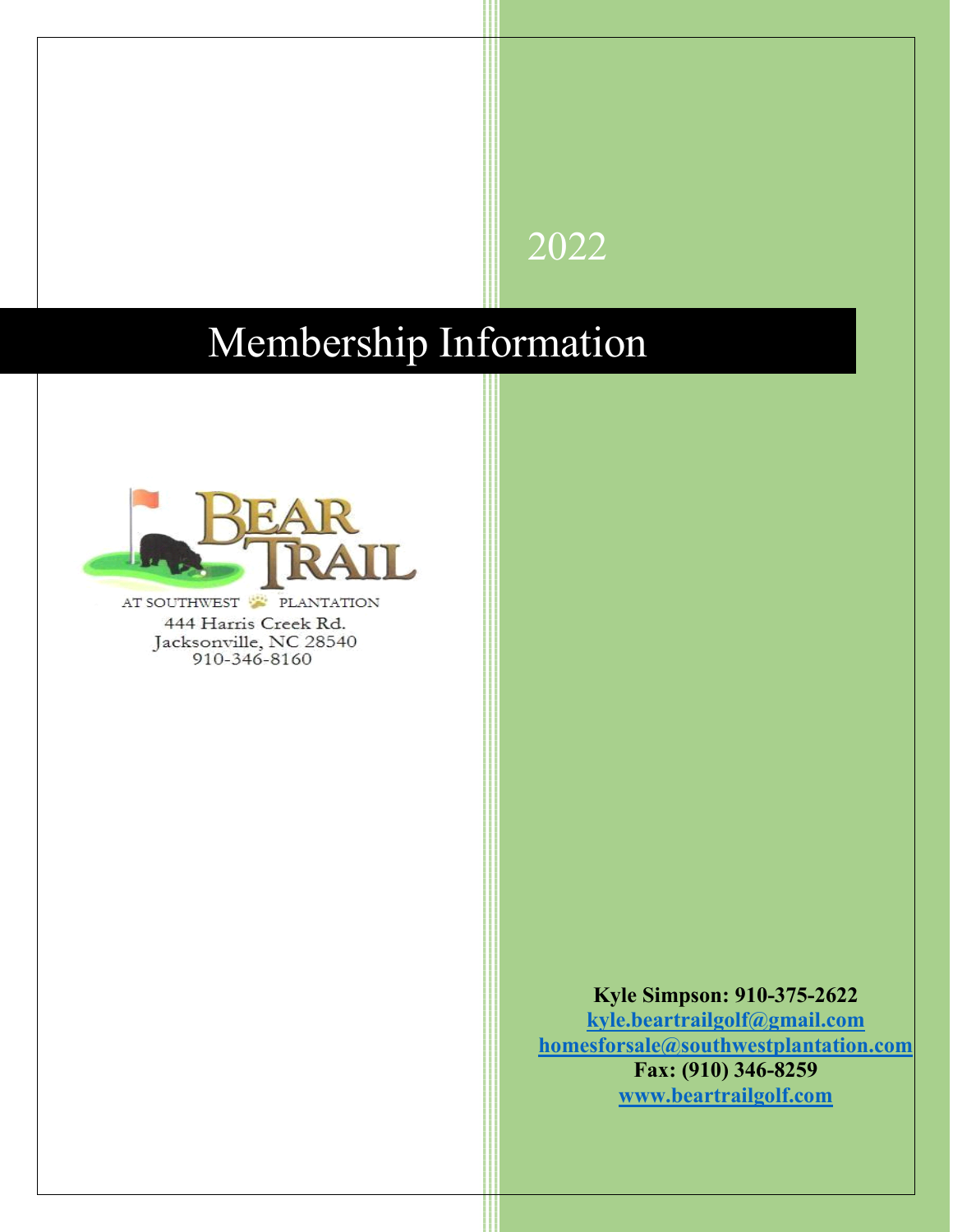# 2022

# Membership Information



AT SOUTHWEST PLANTATION 444 Harris Creek Rd. Jacksonville, NC 28540<br>910-346-8160

> **Kyle Simpson: 910-375-2622 [kyle.beartrailgolf@gmail.com](mailto:kyle.beartrailgolf@gmail.com) [homesforsale@southwestplantation.com](mailto:homesforsale@southwestplantation.com) Fax: (910) 346-8259 [www.beartrailgolf.com](http://www.beartrailgolf.com/)**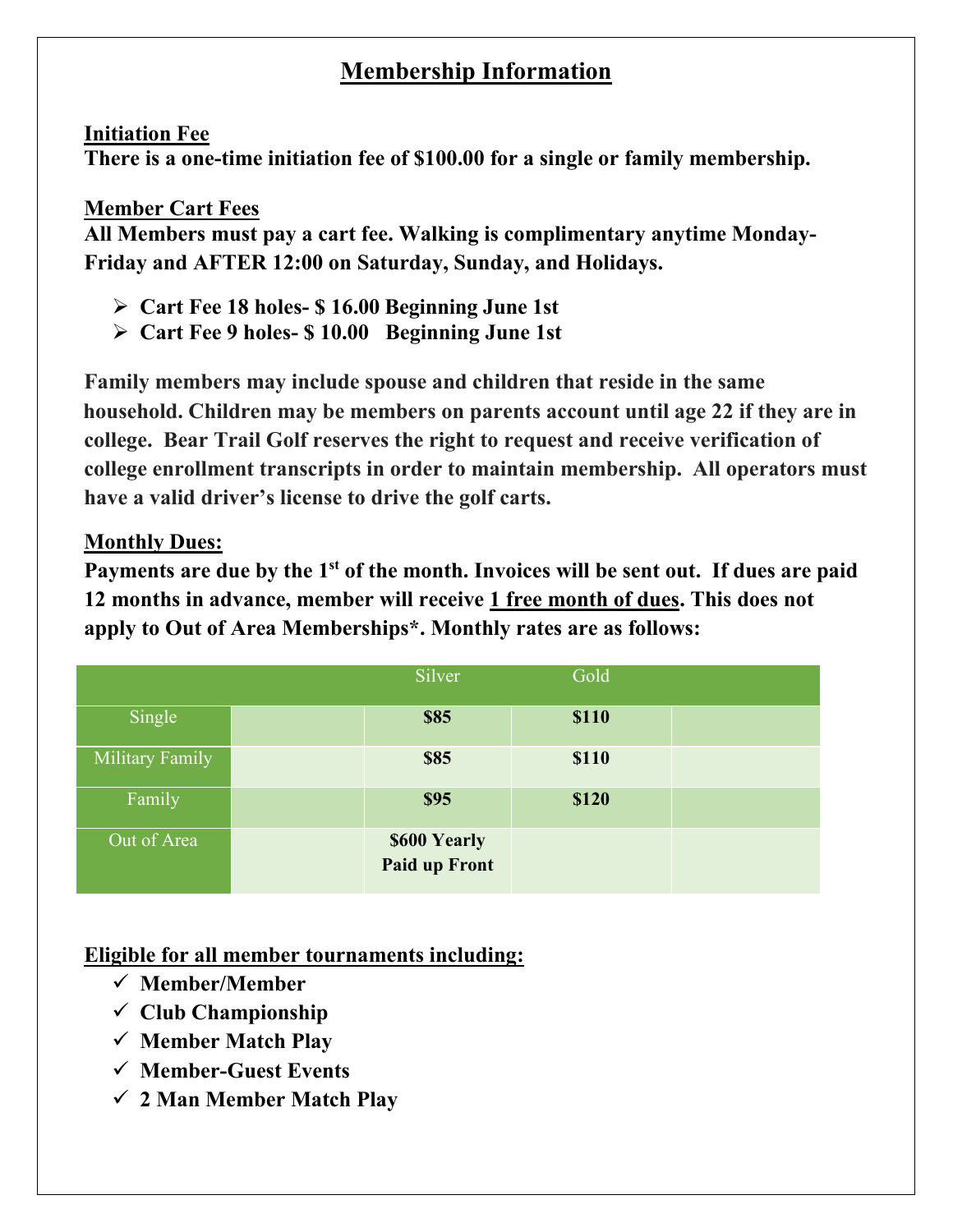## **Membership Information**

#### **Initiation Fee**

**There is a one-time initiation fee of \$100.00 for a single or family membership.** 

#### **Member Cart Fees**

**All Members must pay a cart fee. Walking is complimentary anytime Monday-Friday and AFTER 12:00 on Saturday, Sunday, and Holidays.**

- **Cart Fee 18 holes- \$ 16.00 Beginning June 1st**
- **Cart Fee 9 holes- \$ 10.00 Beginning June 1st**

**Family members may include spouse and children that reside in the same household. Children may be members on parents account until age 22 if they are in have pr college. Bear Trail Golf reserves the right to request and receive verification of in college enrollment transcripts in order to maintain membership. All operators must have a valid driver's license to drive the golf carts.**

#### **Monthly Dues:**

**Payments are due by the 1st of the month. Invoices will be sent out. If dues are paid 12 months in advance, member will receive 1 free month of dues. This does not apply to Out of Area Memberships\*. Monthly rates are as follows:**

|                 | Silver                               | Gold  |  |
|-----------------|--------------------------------------|-------|--|
| Single          | <b>\$85</b>                          | \$110 |  |
| Military Family | <b>\$85</b>                          | \$110 |  |
| Family          | <b>\$95</b>                          | \$120 |  |
| Out of Area     | \$600 Yearly<br><b>Paid up Front</b> |       |  |

#### **Eligible for all member tournaments including:**

- **Member/Member**
- **Club Championship**
- **Member Match Play**
- **Member-Guest Events**
- **2 Man Member Match Play**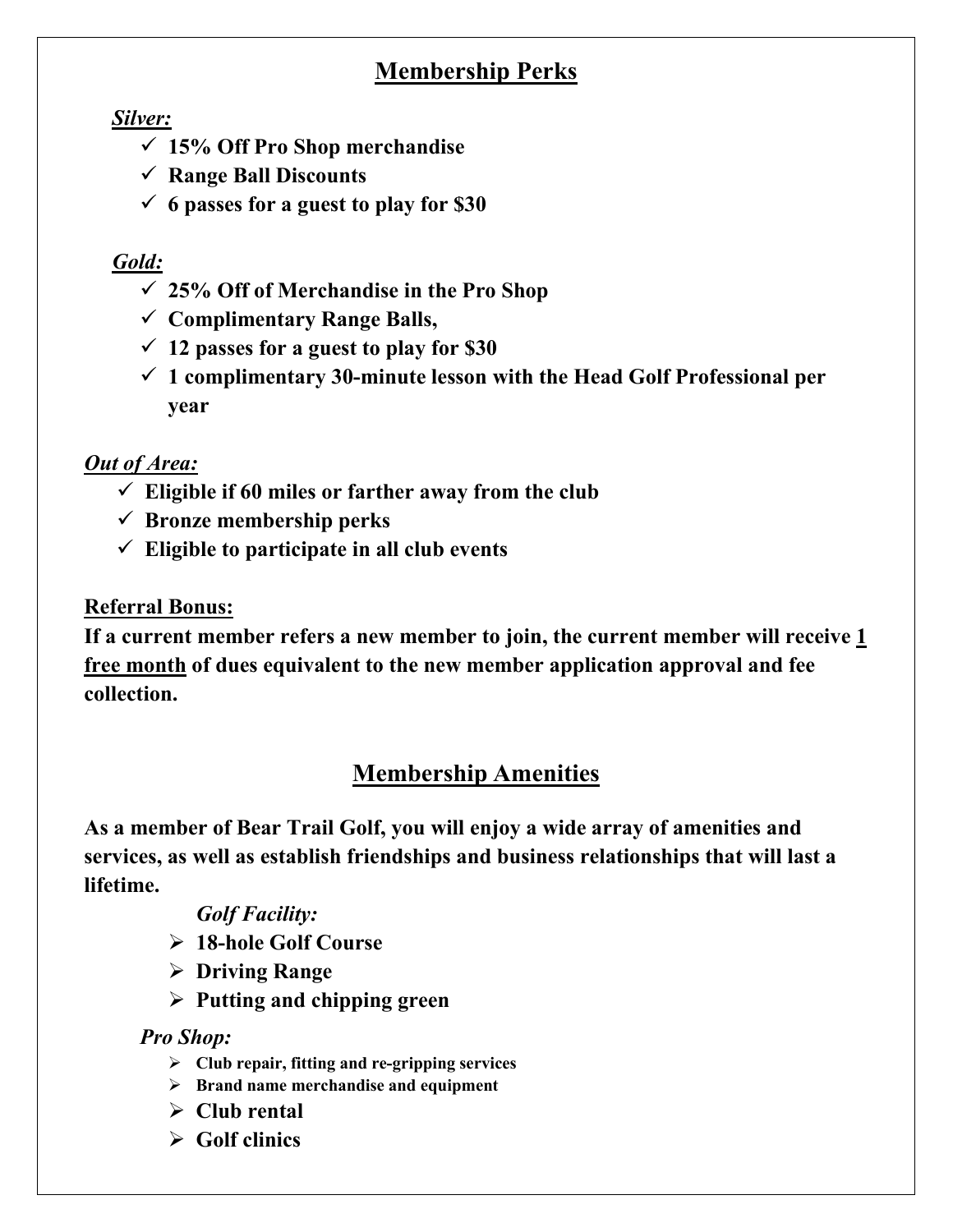## **Membership Perks**

#### *Silver:*

- **15% Off Pro Shop merchandise**
- **Range Ball Discounts**
- **6 passes for a guest to play for \$30**

### *Gold:*

- **25% Off of Merchandise in the Pro Shop**
- **Complimentary Range Balls,**
- **12 passes for a guest to play for \$30**
- **1 complimentary 30-minute lesson with the Head Golf Professional per year**

### *Out of Area:*

- $\checkmark$  Eligible if 60 miles or farther away from the club
- **Bronze membership perks**
- **Eligible to participate in all club events**

### **Referral Bonus:**

**If a current member refers a new member to join, the current member will receive 1 free month of dues equivalent to the new member application approval and fee collection.**

## **Membership Amenities**

**As a member of Bear Trail Golf, you will enjoy a wide array of amenities and services, as well as establish friendships and business relationships that will last a lifetime.** 

#### *Golf Facility:*

- **18-hole Golf Course**
- **Driving Range**
- **Putting and chipping green**

#### *Pro Shop:*

- **Club repair, fitting and re-gripping services**
- **Brand name merchandise and equipment**
- **Club rental**
- **Golf clinics**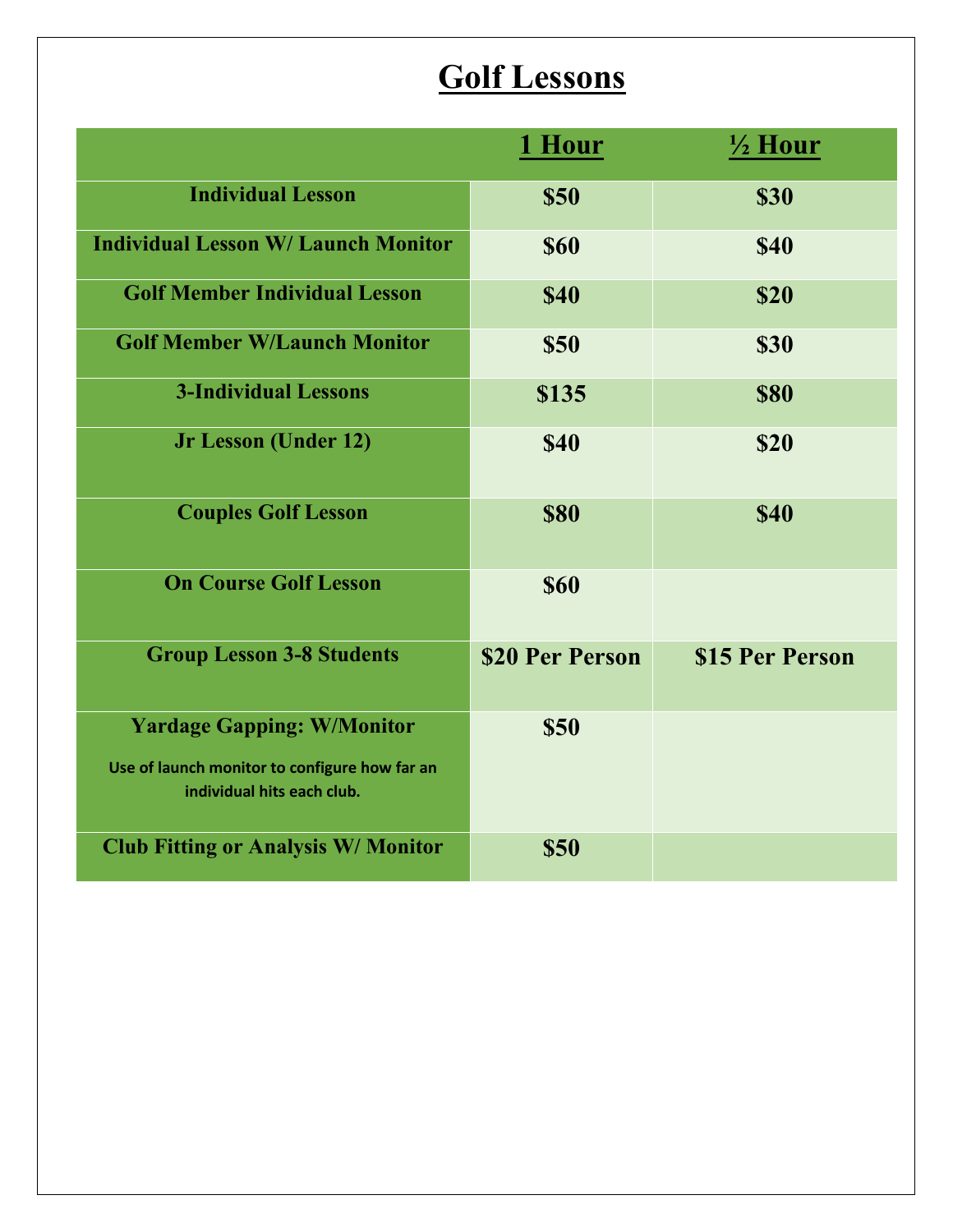# **Golf Lessons**

|                                                                                                                  | <u>1 Hour</u>   | $\frac{1}{2}$ Hour |
|------------------------------------------------------------------------------------------------------------------|-----------------|--------------------|
| <b>Individual Lesson</b>                                                                                         | <b>\$50</b>     | <b>\$30</b>        |
| <b>Individual Lesson W/ Launch Monitor</b>                                                                       | <b>\$60</b>     | <b>\$40</b>        |
| <b>Golf Member Individual Lesson</b>                                                                             | <b>\$40</b>     | \$20               |
| <b>Golf Member W/Launch Monitor</b>                                                                              | \$50            | <b>\$30</b>        |
| <b>3-Individual Lessons</b>                                                                                      | \$135           | <b>\$80</b>        |
| <b>Jr Lesson (Under 12)</b>                                                                                      | <b>\$40</b>     | \$20               |
| <b>Couples Golf Lesson</b>                                                                                       | <b>\$80</b>     | <b>\$40</b>        |
| <b>On Course Golf Lesson</b>                                                                                     | <b>\$60</b>     |                    |
| <b>Group Lesson 3-8 Students</b>                                                                                 | \$20 Per Person | \$15 Per Person    |
| <b>Yardage Gapping: W/Monitor</b><br>Use of launch monitor to configure how far an<br>individual hits each club. | <b>\$50</b>     |                    |
| <b>Club Fitting or Analysis W/ Monitor</b>                                                                       | <b>\$50</b>     |                    |